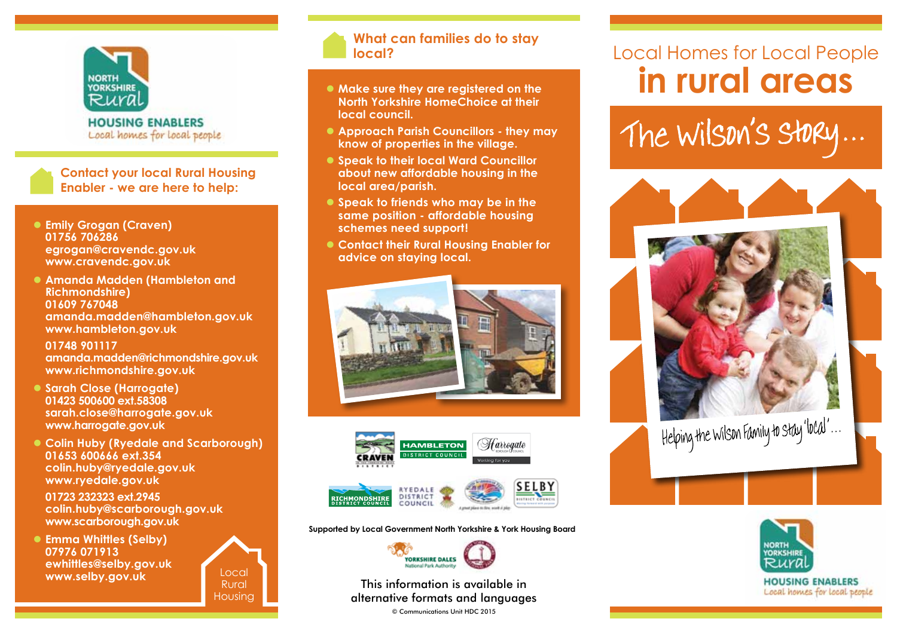

**HOUSING ENABLERS** Local homes for local people

**Contact your local Rural Housing Enabler - we are here to help:**

- **Emily Grogan (Craven) 01756 706286 egrogan@cravendc.gov.uk www.cravendc.gov.uk**
- **Amanda Madden (Hambleton and Richmondshire) 01609 767048 amanda.madden@hambleton.gov.uk www.hambleton.gov.uk**

 **01748 901117 amanda.madden@richmondshire.gov.uk www.richmondshire.gov.uk**

- Sarah Close (Harrogate) **01423 500600 ext.58308 sarah.close@harrogate.gov.uk www.harrogate.gov.uk**
- **Colin Huby (Ryedale and Scarborough) 01653 600666 ext.354 colin.huby@ryedale.gov.uk www.ryedale.gov.uk**

 **01723 232323 ext.2945 colin.huby@scarborough.gov.uk www.scarborough.gov.uk**

 $\bullet$  **Emma Whittles (Selby) 07976 071913 ewhittles@selby.gov.uk www.selby.gov.uk**



## **What can families do to stay local?**

- $\bullet$  Make sure they are registered on the **North Yorkshire HomeChoice at their local council.**
- **Approach Parish Councillors they may know of properties in the village.**
- **Speak to their local Ward Councillor about new affordable housing in the local area/parish.**
- **Speak to friends who may be in the same position - affordable housing schemes need support!**
- **Contact their Rural Housing Enabler for advice on staying local.**





**Supported by Local Government North Yorkshire & York Housing Board**



This information is available in alternative formats and languages

© Communications Unit HDC 2015

## Local Homes for Local People **in rural areas**

The Wilson's Story...





Local homes for local people